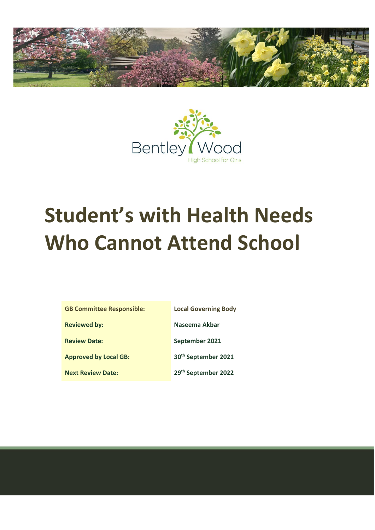



# **Student's with Health Needs Who Cannot Attend School**

| <b>GB Committee Responsible:</b> | <b>Local Governing Body</b>     |
|----------------------------------|---------------------------------|
| <b>Reviewed by:</b>              | Naseema Akbar                   |
| <b>Review Date:</b>              | September 2021                  |
| <b>Approved by Local GB:</b>     | 30 <sup>th</sup> September 2021 |
| <b>Next Review Date:</b>         | 29th September 2022             |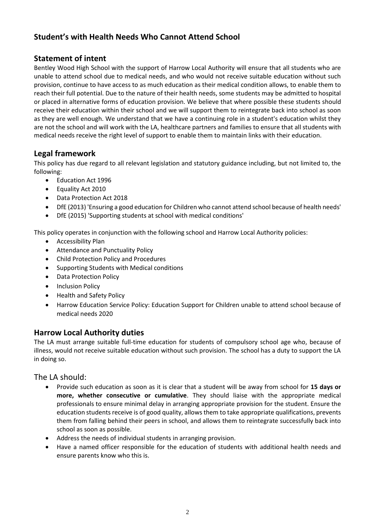# **Student's with Health Needs Who Cannot Attend School**

## **Statement of intent**

Bentley Wood High School with the support of Harrow Local Authority will ensure that all students who are unable to attend school due to medical needs, and who would not receive suitable education without such provision, continue to have access to as much education as their medical condition allows, to enable them to reach their full potential. Due to the nature of their health needs, some students may be admitted to hospital or placed in alternative forms of education provision. We believe that where possible these students should receive their education within their school and we will support them to reintegrate back into school as soon as they are well enough. We understand that we have a continuing role in a student's education whilst they are not the school and will work with the LA, healthcare partners and families to ensure that all students with medical needs receive the right level of support to enable them to maintain links with their education.

## **Legal framework**

This policy has due regard to all relevant legislation and statutory guidance including, but not limited to, the following:

- Education Act 1996
- Equality Act 2010
- Data Protection Act 2018
- DfE (2013) 'Ensuring a good education for Children who cannot attend school because of health needs'
- DfE (2015) 'Supporting students at school with medical conditions'

This policy operates in conjunction with the following school and Harrow Local Authority policies:

- Accessibility Plan
- Attendance and Punctuality Policy
- Child Protection Policy and Procedures
- Supporting Students with Medical conditions
- Data Protection Policy
- Inclusion Policy
- Health and Safety Policy
- Harrow Education Service Policy: Education Support for Children unable to attend school because of medical needs 2020

## **Harrow Local Authority duties**

The LA must arrange suitable full-time education for students of compulsory school age who, because of illness, would not receive suitable education without such provision. The school has a duty to support the LA in doing so.

#### The LA should:

- Provide such education as soon as it is clear that a student will be away from school for **15 days or more, whether consecutive or cumulative**. They should liaise with the appropriate medical professionals to ensure minimal delay in arranging appropriate provision for the student. Ensure the education students receive is of good quality, allows them to take appropriate qualifications, prevents them from falling behind their peers in school, and allows them to reintegrate successfully back into school as soon as possible.
- Address the needs of individual students in arranging provision.
- Have a named officer responsible for the education of students with additional health needs and ensure parents know who this is.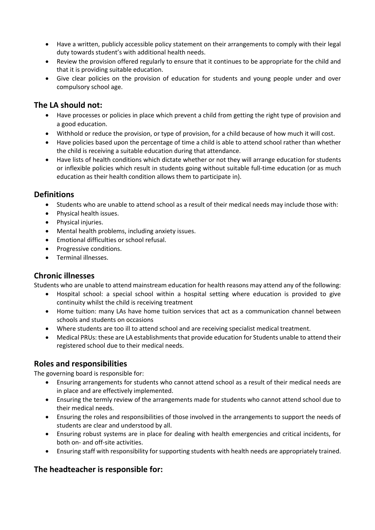- Have a written, publicly accessible policy statement on their arrangements to comply with their legal duty towards student's with additional health needs.
- Review the provision offered regularly to ensure that it continues to be appropriate for the child and that it is providing suitable education.
- Give clear policies on the provision of education for students and young people under and over compulsory school age.

## **The LA should not:**

- Have processes or policies in place which prevent a child from getting the right type of provision and a good education.
- Withhold or reduce the provision, or type of provision, for a child because of how much it will cost.
- Have policies based upon the percentage of time a child is able to attend school rather than whether the child is receiving a suitable education during that attendance.
- Have lists of health conditions which dictate whether or not they will arrange education for students or inflexible policies which result in students going without suitable full-time education (or as much education as their health condition allows them to participate in).

## **Definitions**

- Students who are unable to attend school as a result of their medical needs may include those with:
- Physical health issues.
- Physical injuries.
- Mental health problems, including anxiety issues.
- Emotional difficulties or school refusal.
- Progressive conditions.
- Terminal illnesses.

#### **Chronic illnesses**

Students who are unable to attend mainstream education for health reasons may attend any of the following:

- Hospital school: a special school within a hospital setting where education is provided to give continuity whilst the child is receiving treatment
- Home tuition: many LAs have home tuition services that act as a communication channel between schools and students on occasions
- Where students are too ill to attend school and are receiving specialist medical treatment.
- Medical PRUs: these are LA establishments that provide education for Students unable to attend their registered school due to their medical needs.

#### **Roles and responsibilities**

The governing board is responsible for:

- Ensuring arrangements for students who cannot attend school as a result of their medical needs are in place and are effectively implemented.
- Ensuring the termly review of the arrangements made for students who cannot attend school due to their medical needs.
- Ensuring the roles and responsibilities of those involved in the arrangements to support the needs of students are clear and understood by all.
- Ensuring robust systems are in place for dealing with health emergencies and critical incidents, for both on- and off-site activities.
- Ensuring staff with responsibility for supporting students with health needs are appropriately trained.

## **The headteacher is responsible for:**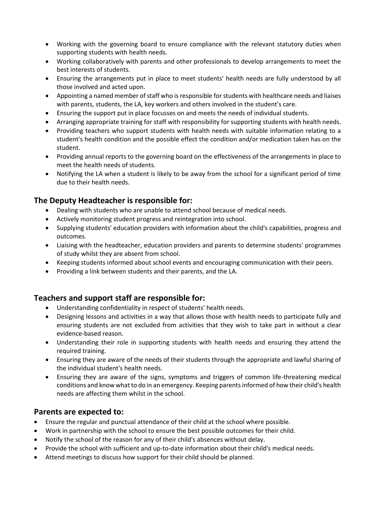- Working with the governing board to ensure compliance with the relevant statutory duties when supporting students with health needs.
- Working collaboratively with parents and other professionals to develop arrangements to meet the best interests of students.
- Ensuring the arrangements put in place to meet students' health needs are fully understood by all those involved and acted upon.
- Appointing a named member of staff who is responsible for students with healthcare needs and liaises with parents, students, the LA, key workers and others involved in the student's care.
- Ensuring the support put in place focusses on and meets the needs of individual students.
- Arranging appropriate training for staff with responsibility for supporting students with health needs.
- Providing teachers who support students with health needs with suitable information relating to a student's health condition and the possible effect the condition and/or medication taken has on the student.
- Providing annual reports to the governing board on the effectiveness of the arrangements in place to meet the health needs of students.
- Notifying the LA when a student is likely to be away from the school for a significant period of time due to their health needs.

## **The Deputy Headteacher is responsible for:**

- Dealing with students who are unable to attend school because of medical needs.
- Actively monitoring student progress and reintegration into school.
- Supplying students' education providers with information about the child's capabilities, progress and outcomes.
- Liaising with the headteacher, education providers and parents to determine students' programmes of study whilst they are absent from school.
- Keeping students informed about school events and encouraging communication with their peers.
- Providing a link between students and their parents, and the LA.

## **Teachers and support staff are responsible for:**

- Understanding confidentiality in respect of students' health needs.
- Designing lessons and activities in a way that allows those with health needs to participate fully and ensuring students are not excluded from activities that they wish to take part in without a clear evidence-based reason.
- Understanding their role in supporting students with health needs and ensuring they attend the required training.
- Ensuring they are aware of the needs of their students through the appropriate and lawful sharing of the individual student's health needs.
- Ensuring they are aware of the signs, symptoms and triggers of common life-threatening medical conditions and know what to do in an emergency. Keeping parents informed of how their child's health needs are affecting them whilst in the school.

#### **Parents are expected to:**

- Ensure the regular and punctual attendance of their child at the school where possible.
- Work in partnership with the school to ensure the best possible outcomes for their child.
- Notify the school of the reason for any of their child's absences without delay.
- Provide the school with sufficient and up-to-date information about their child's medical needs.
- Attend meetings to discuss how support for their child should be planned.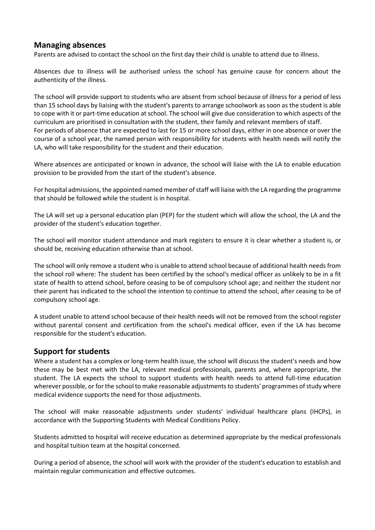#### **Managing absences**

Parents are advised to contact the school on the first day their child is unable to attend due to illness.

Absences due to illness will be authorised unless the school has genuine cause for concern about the authenticity of the illness.

The school will provide support to students who are absent from school because of illness for a period of less than 15 school days by liaising with the student's parents to arrange schoolwork as soon as the student is able to cope with it or part-time education at school. The school will give due consideration to which aspects of the curriculum are prioritised in consultation with the student, their family and relevant members of staff. For periods of absence that are expected to last for 15 or more school days, either in one absence or over the course of a school year, the named person with responsibility for students with health needs will notify the LA, who will take responsibility for the student and their education.

Where absences are anticipated or known in advance, the school will liaise with the LA to enable education provision to be provided from the start of the student's absence.

For hospital admissions, the appointed named member of staff will liaise with the LA regarding the programme that should be followed while the student is in hospital.

The LA will set up a personal education plan (PEP) for the student which will allow the school, the LA and the provider of the student's education together.

The school will monitor student attendance and mark registers to ensure it is clear whether a student is, or should be, receiving education otherwise than at school.

The school will only remove a student who is unable to attend school because of additional health needs from the school roll where: The student has been certified by the school's medical officer as unlikely to be in a fit state of health to attend school, before ceasing to be of compulsory school age; and neither the student nor their parent has indicated to the school the intention to continue to attend the school, after ceasing to be of compulsory school age.

A student unable to attend school because of their health needs will not be removed from the school register without parental consent and certification from the school's medical officer, even if the LA has become responsible for the student's education.

#### **Support for students**

Where a student has a complex or long-term health issue, the school will discuss the student's needs and how these may be best met with the LA, relevant medical professionals, parents and, where appropriate, the student. The LA expects the school to support students with health needs to attend full-time education wherever possible, or for the school to make reasonable adjustments to students' programmes of study where medical evidence supports the need for those adjustments.

The school will make reasonable adjustments under students' individual healthcare plans (IHCPs), in accordance with the Supporting Students with Medical Conditions Policy.

Students admitted to hospital will receive education as determined appropriate by the medical professionals and hospital tuition team at the hospital concerned.

During a period of absence, the school will work with the provider of the student's education to establish and maintain regular communication and effective outcomes.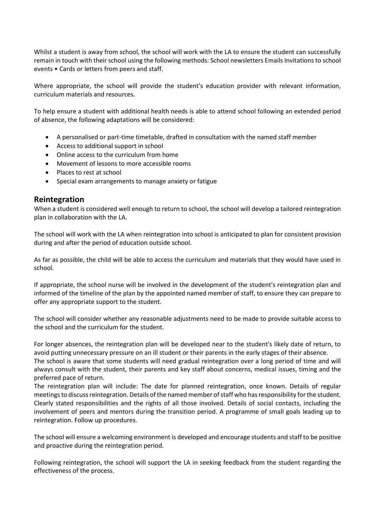Whilst a student is away from school, the school will work with the LA to ensure the student can successfully remain in touch with their school using the following methods: School newsletters Emails Invitations to school events • Cards or letters from peers and staff.

Where appropriate, the school will provide the student's education provider with relevant information, curriculum materials and resources.

To help ensure a student with additional health needs is able to attend school following an extended period of absence, the following adaptations will be considered:

- A personalised or part-time timetable, drafted in consultation with the named staff member
- Access to additional support in school
- Online access to the curriculum from home
- Movement of lessons to more accessible rooms
- Places to rest at school
- Special exam arrangements to manage anxiety or fatigue

#### **Reintegration**

When a student is considered well enough to return to school, the school will develop a tailored reintegration plan in collaboration with the LA.

The school will work with the LA when reintegration into school is anticipated to plan for consistent provision during and after the period of education outside school.

As far as possible, the child will be able to access the curriculum and materials that they would have used in school.

If appropriate, the school nurse will be involved in the development of the student's reintegration plan and informed of the timeline of the plan by the appointed named member of staff, to ensure they can prepare to offer any appropriate support to the student.

The school will consider whether any reasonable adjustments need to be made to provide suitable access to the school and the curriculum for the student.

For longer absences, the reintegration plan will be developed near to the student's likely date of return, to avoid putting unnecessary pressure on an ill student or their parents in the early stages of their absence. The school is aware that some students will need gradual reintegration over a long period of time and will always consult with the student, their parents and key staff about concerns, medical issues, timing and the preferred pace of return.

The reintegration plan will include: The date for planned reintegration, once known. Details of regular meetings to discuss reintegration. Details of the named member of staff who has responsibility for the student. Clearly stated responsibilities and the rights of all those involved. Details of social contacts, including the involvement of peers and mentors during the transition period. A programme of small goals leading up to reintegration. Follow up procedures.

The school will ensure a welcoming environment is developed and encourage students and staff to be positive and proactive during the reintegration period.

Following reintegration, the school will support the LA in seeking feedback from the student regarding the effectiveness of the process.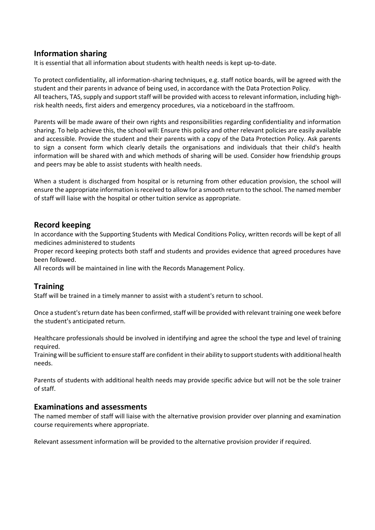### **Information sharing**

It is essential that all information about students with health needs is kept up-to-date.

To protect confidentiality, all information-sharing techniques, e.g. staff notice boards, will be agreed with the student and their parents in advance of being used, in accordance with the Data Protection Policy. All teachers, TAS, supply and support staff will be provided with access to relevant information, including highrisk health needs, first aiders and emergency procedures, via a noticeboard in the staffroom.

Parents will be made aware of their own rights and responsibilities regarding confidentiality and information sharing. To help achieve this, the school will: Ensure this policy and other relevant policies are easily available and accessible. Provide the student and their parents with a copy of the Data Protection Policy. Ask parents to sign a consent form which clearly details the organisations and individuals that their child's health information will be shared with and which methods of sharing will be used. Consider how friendship groups and peers may be able to assist students with health needs.

When a student is discharged from hospital or is returning from other education provision, the school will ensure the appropriate information is received to allow for a smooth return to the school. The named member of staff will liaise with the hospital or other tuition service as appropriate.

### **Record keeping**

In accordance with the Supporting Students with Medical Conditions Policy, written records will be kept of all medicines administered to students

Proper record keeping protects both staff and students and provides evidence that agreed procedures have been followed.

All records will be maintained in line with the Records Management Policy.

#### **Training**

Staff will be trained in a timely manner to assist with a student's return to school.

Once a student's return date has been confirmed, staff will be provided with relevant training one week before the student's anticipated return.

Healthcare professionals should be involved in identifying and agree the school the type and level of training required.

Training will be sufficient to ensure staff are confident in their ability to support students with additional health needs.

Parents of students with additional health needs may provide specific advice but will not be the sole trainer of staff.

#### **Examinations and assessments**

The named member of staff will liaise with the alternative provision provider over planning and examination course requirements where appropriate.

Relevant assessment information will be provided to the alternative provision provider if required.